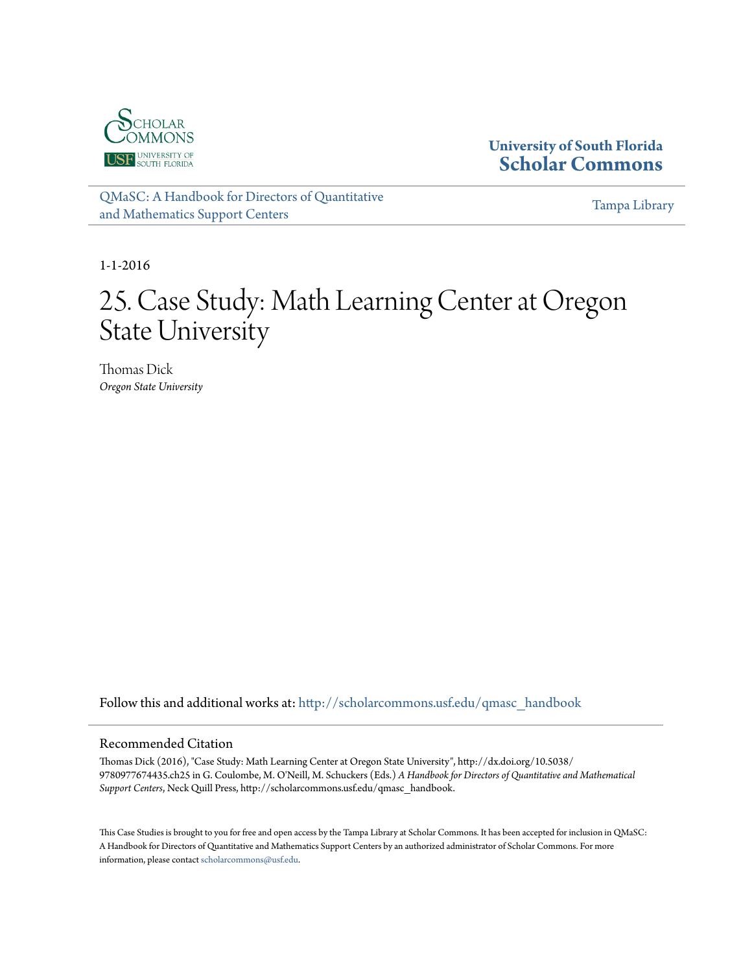

**University of South Florida [Scholar Commons](http://scholarcommons.usf.edu?utm_source=scholarcommons.usf.edu%2Fqmasc_handbook%2F25&utm_medium=PDF&utm_campaign=PDFCoverPages)**

[QMaSC: A Handbook for Directors of Quantitative](http://scholarcommons.usf.edu/qmasc_handbook?utm_source=scholarcommons.usf.edu%2Fqmasc_handbook%2F25&utm_medium=PDF&utm_campaign=PDFCoverPages) [and Mathematics Support Centers](http://scholarcommons.usf.edu/qmasc_handbook?utm_source=scholarcommons.usf.edu%2Fqmasc_handbook%2F25&utm_medium=PDF&utm_campaign=PDFCoverPages)

[Tampa Library](http://scholarcommons.usf.edu/tlib?utm_source=scholarcommons.usf.edu%2Fqmasc_handbook%2F25&utm_medium=PDF&utm_campaign=PDFCoverPages)

1-1-2016

# 25. Case Study: Math Learning Center at Oregon State University

Thomas Dick *Oregon State University*

Follow this and additional works at: [http://scholarcommons.usf.edu/qmasc\\_handbook](http://scholarcommons.usf.edu/qmasc_handbook?utm_source=scholarcommons.usf.edu%2Fqmasc_handbook%2F25&utm_medium=PDF&utm_campaign=PDFCoverPages)

#### Recommended Citation

Thomas Dick (2016), "Case Study: Math Learning Center at Oregon State University", http://dx.doi.org/10.5038/ 9780977674435.ch25 in G. Coulombe, M. O'Neill, M. Schuckers (Eds.) *A Handbook for Directors of Quantitative and Mathematical Support Centers*, Neck Quill Press, http://scholarcommons.usf.edu/qmasc\_handbook.

This Case Studies is brought to you for free and open access by the Tampa Library at Scholar Commons. It has been accepted for inclusion in QMaSC: A Handbook for Directors of Quantitative and Mathematics Support Centers by an authorized administrator of Scholar Commons. For more information, please contact [scholarcommons@usf.edu.](mailto:scholarcommons@usf.edu)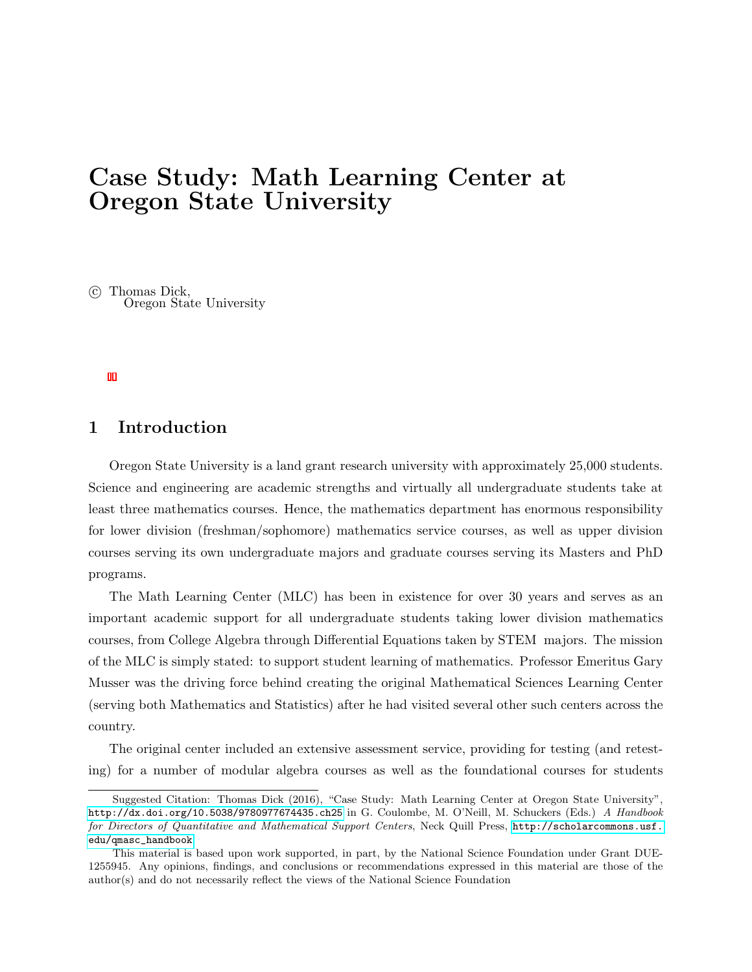## Case Study: Math Learning Center at Oregon State University

 c Thomas Dick, Oregon State University

#### 1 Introduction

Oregon State University is a land grant research university with approximately 25,000 students. Science and engineering are academic strengths and virtually all undergraduate students take at least three mathematics courses. Hence, the mathematics department has enormous responsibility for lower division (freshman/sophomore) mathematics service courses, as well as upper division courses serving its own undergraduate majors and graduate courses serving its Masters and PhD programs.

The Math Learning Center (MLC) has been in existence for over 30 years and serves as an important academic support for all undergraduate students taking lower division mathematics courses, from College Algebra through Differential Equations taken by STEM majors. The mission of the MLC is simply stated: to support student learning of mathematics. Professor Emeritus Gary Musser was the driving force behind creating the original Mathematical Sciences Learning Center (serving both Mathematics and Statistics) after he had visited several other such centers across the country.

The original center included an extensive assessment service, providing for testing (and retesting) for a number of modular algebra courses as well as the foundational courses for students

Suggested Citation: Thomas Dick (2016), "Case Study: Math Learning Center at Oregon State University", <http://dx.doi.org/10.5038/9780977674435.ch25> in G. Coulombe, M. O'Neill, M. Schuckers (Eds.) A Handbook for Directors of Quantitative and Mathematical Support Centers, Neck Quill Press, [http://scholarcommons.usf.](http://scholarcommons.usf.edu/qmasc_handbook) [edu/qmasc\\_handbook](http://scholarcommons.usf.edu/qmasc_handbook).

This material is based upon work supported, in part, by the National Science Foundation under Grant DUE-1255945. Any opinions, findings, and conclusions or recommendations expressed in this material are those of the author(s) and do not necessarily reflect the views of the National Science Foundation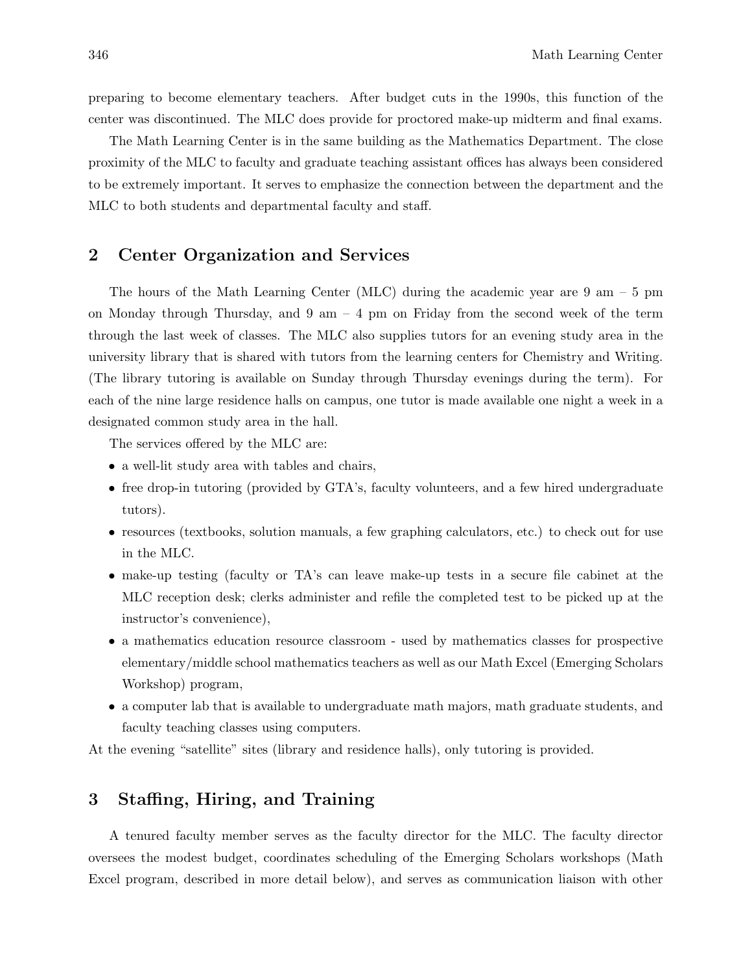preparing to become elementary teachers. After budget cuts in the 1990s, this function of the center was discontinued. The MLC does provide for proctored make-up midterm and final exams.

The Math Learning Center is in the same building as the Mathematics Department. The close proximity of the MLC to faculty and graduate teaching assistant offices has always been considered to be extremely important. It serves to emphasize the connection between the department and the MLC to both students and departmental faculty and staff.

#### 2 Center Organization and Services

The hours of the Math Learning Center (MLC) during the academic year are 9 am – 5 pm on Monday through Thursday, and  $9 \text{ am } -4 \text{ pm}$  on Friday from the second week of the term through the last week of classes. The MLC also supplies tutors for an evening study area in the university library that is shared with tutors from the learning centers for Chemistry and Writing. (The library tutoring is available on Sunday through Thursday evenings during the term). For each of the nine large residence halls on campus, one tutor is made available one night a week in a designated common study area in the hall.

The services offered by the MLC are:

- a well-lit study area with tables and chairs,
- free drop-in tutoring (provided by GTA's, faculty volunteers, and a few hired undergraduate tutors).
- resources (textbooks, solution manuals, a few graphing calculators, etc.) to check out for use in the MLC.
- make-up testing (faculty or TA's can leave make-up tests in a secure file cabinet at the MLC reception desk; clerks administer and refile the completed test to be picked up at the instructor's convenience),
- a mathematics education resource classroom used by mathematics classes for prospective elementary/middle school mathematics teachers as well as our Math Excel (Emerging Scholars Workshop) program,
- a computer lab that is available to undergraduate math majors, math graduate students, and faculty teaching classes using computers.

At the evening "satellite" sites (library and residence halls), only tutoring is provided.

### 3 Staffing, Hiring, and Training

A tenured faculty member serves as the faculty director for the MLC. The faculty director oversees the modest budget, coordinates scheduling of the Emerging Scholars workshops (Math Excel program, described in more detail below), and serves as communication liaison with other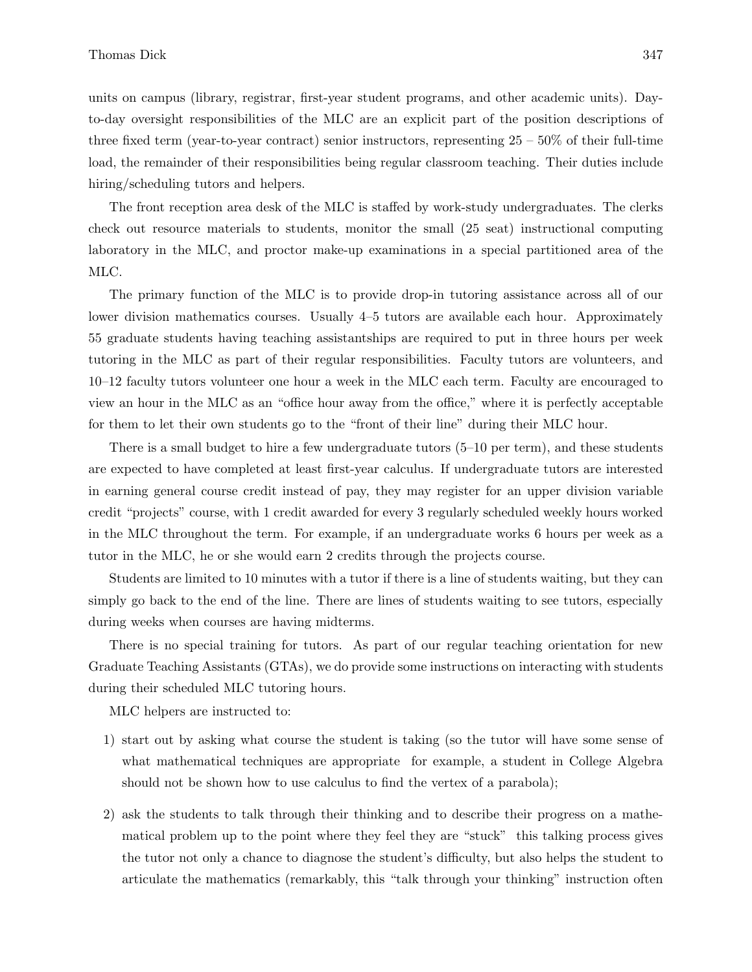units on campus (library, registrar, first-year student programs, and other academic units). Dayto-day oversight responsibilities of the MLC are an explicit part of the position descriptions of three fixed term (year-to-year contract) senior instructors, representing  $25 - 50\%$  of their full-time load, the remainder of their responsibilities being regular classroom teaching. Their duties include hiring/scheduling tutors and helpers.

The front reception area desk of the MLC is staffed by work-study undergraduates. The clerks check out resource materials to students, monitor the small (25 seat) instructional computing laboratory in the MLC, and proctor make-up examinations in a special partitioned area of the MLC.

The primary function of the MLC is to provide drop-in tutoring assistance across all of our lower division mathematics courses. Usually 4–5 tutors are available each hour. Approximately 55 graduate students having teaching assistantships are required to put in three hours per week tutoring in the MLC as part of their regular responsibilities. Faculty tutors are volunteers, and 10–12 faculty tutors volunteer one hour a week in the MLC each term. Faculty are encouraged to view an hour in the MLC as an "office hour away from the office," where it is perfectly acceptable for them to let their own students go to the "front of their line" during their MLC hour.

There is a small budget to hire a few undergraduate tutors (5–10 per term), and these students are expected to have completed at least first-year calculus. If undergraduate tutors are interested in earning general course credit instead of pay, they may register for an upper division variable credit "projects" course, with 1 credit awarded for every 3 regularly scheduled weekly hours worked in the MLC throughout the term. For example, if an undergraduate works 6 hours per week as a tutor in the MLC, he or she would earn 2 credits through the projects course.

Students are limited to 10 minutes with a tutor if there is a line of students waiting, but they can simply go back to the end of the line. There are lines of students waiting to see tutors, especially during weeks when courses are having midterms.

There is no special training for tutors. As part of our regular teaching orientation for new Graduate Teaching Assistants (GTAs), we do provide some instructions on interacting with students during their scheduled MLC tutoring hours.

MLC helpers are instructed to:

- 1) start out by asking what course the student is taking (so the tutor will have some sense of what mathematical techniques are appropriate for example, a student in College Algebra should not be shown how to use calculus to find the vertex of a parabola);
- 2) ask the students to talk through their thinking and to describe their progress on a mathematical problem up to the point where they feel they are "stuck" this talking process gives the tutor not only a chance to diagnose the student's difficulty, but also helps the student to articulate the mathematics (remarkably, this "talk through your thinking" instruction often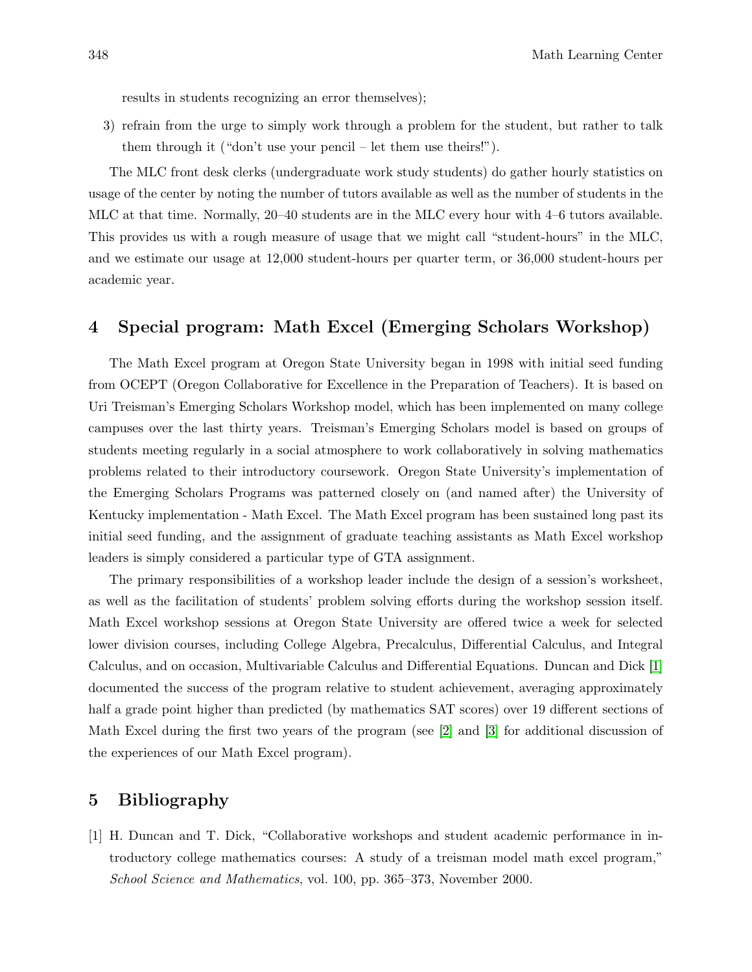results in students recognizing an error themselves);

3) refrain from the urge to simply work through a problem for the student, but rather to talk them through it ("don't use your pencil – let them use theirs!").

The MLC front desk clerks (undergraduate work study students) do gather hourly statistics on usage of the center by noting the number of tutors available as well as the number of students in the MLC at that time. Normally, 20–40 students are in the MLC every hour with 4–6 tutors available. This provides us with a rough measure of usage that we might call "student-hours" in the MLC, and we estimate our usage at 12,000 student-hours per quarter term, or 36,000 student-hours per academic year.

#### 4 Special program: Math Excel (Emerging Scholars Workshop)

The Math Excel program at Oregon State University began in 1998 with initial seed funding from OCEPT (Oregon Collaborative for Excellence in the Preparation of Teachers). It is based on Uri Treisman's Emerging Scholars Workshop model, which has been implemented on many college campuses over the last thirty years. Treisman's Emerging Scholars model is based on groups of students meeting regularly in a social atmosphere to work collaboratively in solving mathematics problems related to their introductory coursework. Oregon State University's implementation of the Emerging Scholars Programs was patterned closely on (and named after) the University of Kentucky implementation - Math Excel. The Math Excel program has been sustained long past its initial seed funding, and the assignment of graduate teaching assistants as Math Excel workshop leaders is simply considered a particular type of GTA assignment.

The primary responsibilities of a workshop leader include the design of a session's worksheet, as well as the facilitation of students' problem solving efforts during the workshop session itself. Math Excel workshop sessions at Oregon State University are offered twice a week for selected lower division courses, including College Algebra, Precalculus, Differential Calculus, and Integral Calculus, and on occasion, Multivariable Calculus and Differential Equations. Duncan and Dick [1] documented the success of the program relative to student achievement, averaging approximately half a grade point higher than predicted (by mathematics SAT scores) over 19 different sections of Math Excel during the first two years of the program (see [2] and [3] for additional discussion of the experiences of our Math Excel program).

#### 5 Bibliography

[1] H. Duncan and T. Dick, "Collaborative workshops and student academic performance in introductory college mathematics courses: A study of a treisman model math excel program," School Science and Mathematics, vol. 100, pp. 365–373, November 2000.